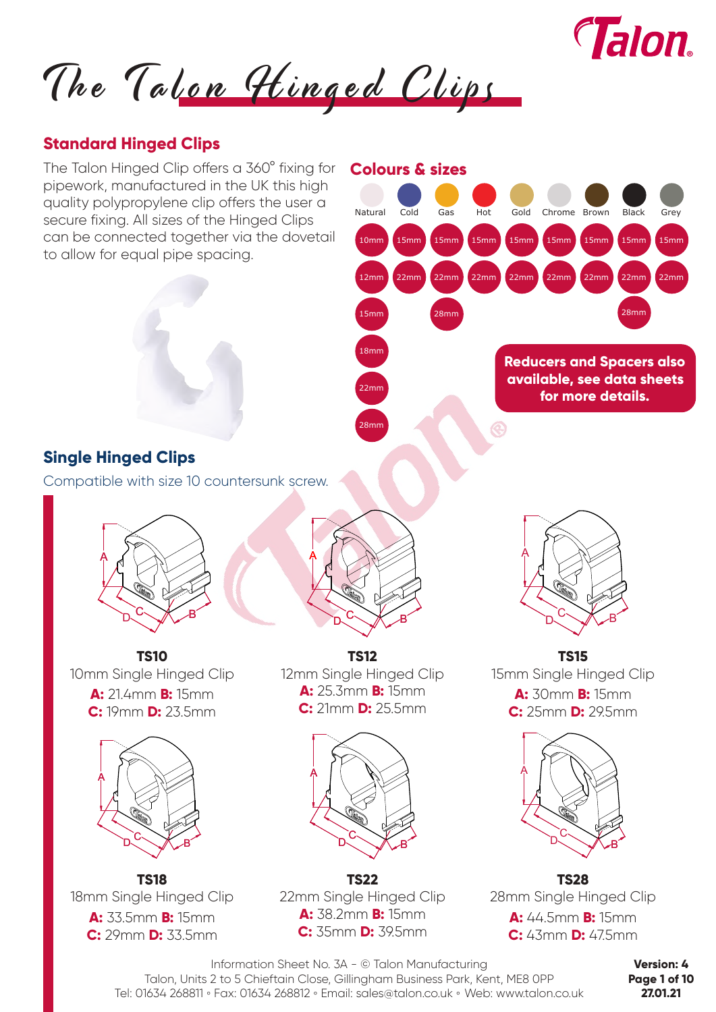

The Talon Hinged Clips

### **Standard Hinged Clips**



Information Sheet No. 3A - © Talon Manufacturing Talon, Units 2 to 5 Chieftain Close, Gillingham Business Park, Kent, ME8 0PP Tel: 01634 268811 **◦** Fax: 01634 268812 **◦** Email: sales@talon.co.uk **◦** Web: www.talon.co.uk

**Version: 4 Page 1 of 10 27.01.21**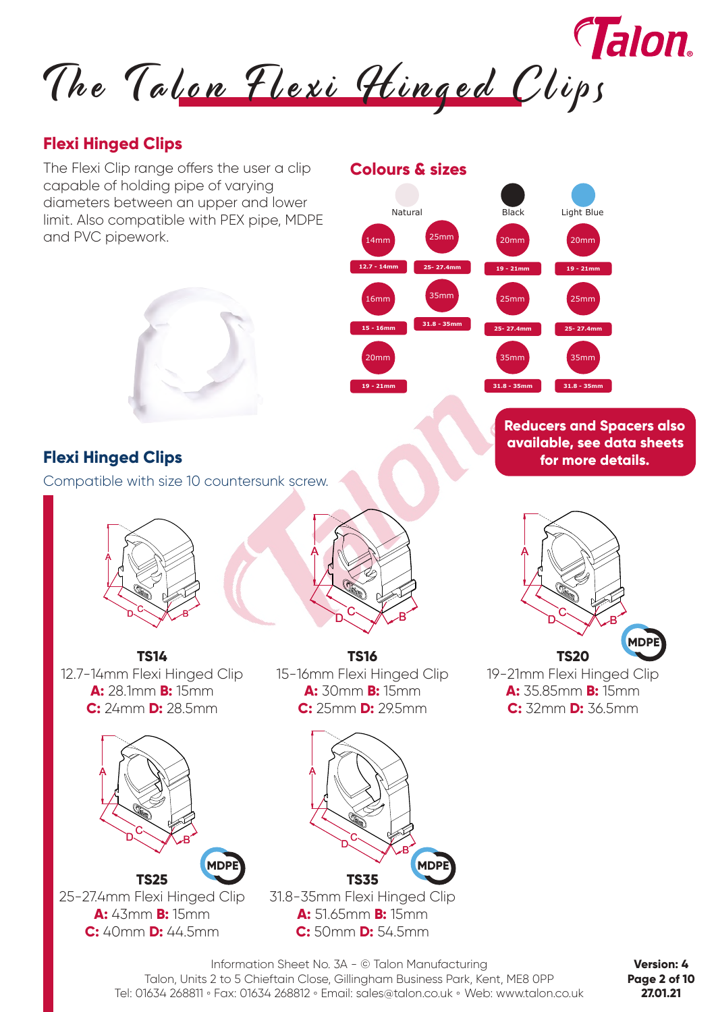*Talon.* The Talon Flexi Hinged Clips

**12.7 - 14mm**

14mm

**15 - 16mm**

16mm

**19 - 21mm**

20mm

**Colours & sizes**

Natural

**25- 27.4mm**

25mm

**31.8 - 35mm**

35mm

## **Flexi Hinged Clips**

The Flexi Clip range offers the user a clip capable of holding pipe of varying diameters between an upper and lower limit. Also compatible with PEX pipe, MDPE and PVC pipework.



# **Flexi Hinged Clips**

Compatible with size 10 countersunk screw.





**TS14** 12.7-14mm Flexi Hinged Clip **A:** 28.1mm **B:** 15mm **C:** 24mm **D:** 28.5mm



25-27.4mm Flexi Hinged Clip **A:** 43mm **B:** 15mm **C:** 40mm **D:** 44.5mm

**TS16** 15-16mm Flexi Hinged Clip **A:** 30mm **B:** 15mm **C:** 25mm **D:** 29.5mm



**A:** 51.65mm **B:** 15mm **C:** 50mm **D:** 54.5mm **available, see data sheets for more details.**

**Reducers and Spacers also** 

**19 - 21mm**

**19 - 21mm**

25mm

20mm

**Black** 

**25- 27.4mm**

**31.8 - 35mm**

35mm

20mm

Light Blue

**25- 27.4mm**

35mm

25mm

**31.8 - 35mm**



Information Sheet No. 3A - © Talon Manufacturing Talon, Units 2 to 5 Chieftain Close, Gillingham Business Park, Kent, ME8 0PP Tel: 01634 268811 **◦** Fax: 01634 268812 **◦** Email: sales@talon.co.uk **◦** Web: www.talon.co.uk

**Version: 4 Page 2 of 10 27.01.21**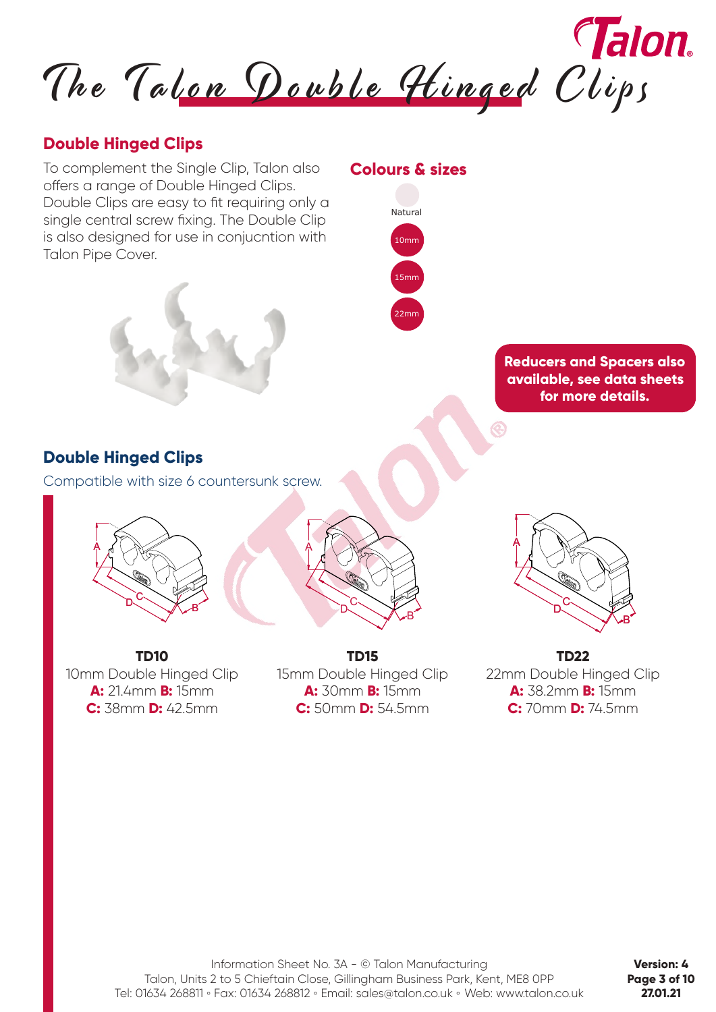

### **Double Hinged Clips**

To complement the Single Clip, Talon also offers a range of Double Hinged Clips. Double Clips are easy to fit requiring only a single central screw fixing. The Double Clip is also designed for use in conjucntion with Talon Pipe Cover.



#### **Colours & sizes**



**Reducers and Spacers also available, see data sheets for more details.**

# **Double Hinged Clips**

Compatible with size 6 countersunk screw.





**TD10** 10mm Double Hinged Clip **A:** 21.4mm **B:** 15mm **C:** 38mm **D:** 42.5mm

**TD15** 15mm Double Hinged Clip **A:** 30mm **B:** 15mm **C:** 50mm **D:** 54.5mm



**TD22** 22mm Double Hinged Clip **A:** 38.2mm **B:** 15mm **C:** 70mm **D:** 74.5mm

**Version: 4 Page 3 of 10 27.01.21**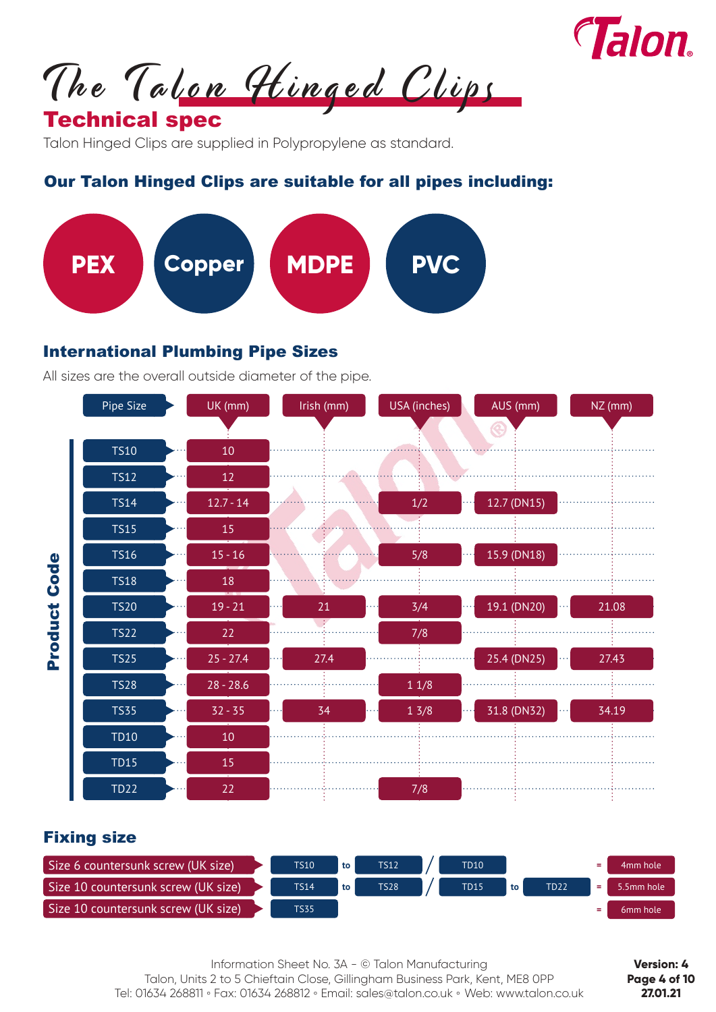

The Talon Hinged Clips

# Technical spec

Talon Hinged Clips are supplied in Polypropylene as standard.

## Our Talon Hinged Clips are suitable for all pipes including:



#### International Plumbing Pipe Sizes

All sizes are the overall outside diameter of the pipe.



#### Fixing size

| Size 6 countersunk screw (UK size), | <b>TS10</b> | to | <b>TS12</b> | <b>TD10</b> |    |      | ۰. | 4mm hole             |
|-------------------------------------|-------------|----|-------------|-------------|----|------|----|----------------------|
| Size 10 countersunk screw (UK size) | <b>TS14</b> | to | <b>TS28</b> | <b>TD15</b> | to | TD22 |    | 5.5mm hole           |
| Size 10 countersunk screw (UK size) | <b>TS35</b> |    |             |             |    |      |    | 6 <sub>mm</sub> hole |

Information Sheet No. 3A - © Talon Manufacturing Talon, Units 2 to 5 Chieftain Close, Gillingham Business Park, Kent, ME8 0PP Tel: 01634 268811 **◦** Fax: 01634 268812 **◦** Email: sales@talon.co.uk **◦** Web: www.talon.co.uk

**Version: 4 Page 4 of 10 27.01.21**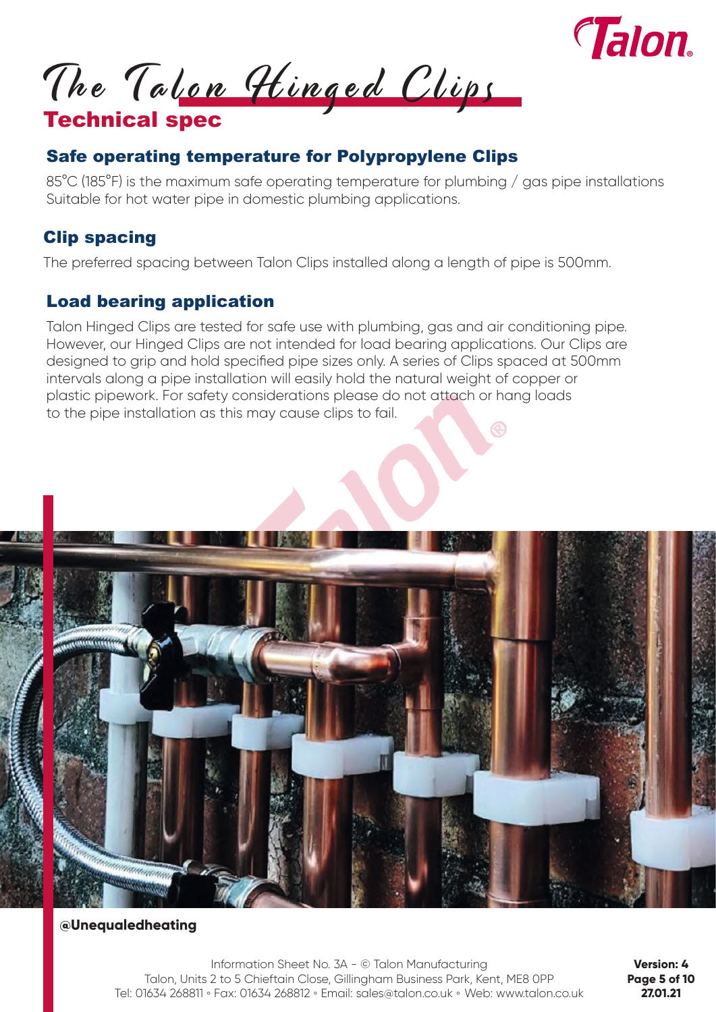

The Talon Hinged Clips

# Technical spec

# Safe operating temperature for Polypropylene Clips

85°C (185°F) is the maximum safe operating temperature for plumbing / gas pipe installations Suitable for hot water pipe in domestic plumbing applications.

# Clip spacing

The preferred spacing between Talon Clips installed along a length of pipe is 500mm.

# Load bearing application

Talon Hinged Clips are tested for safe use with plumbing, gas and air conditioning pipe. However, our Hinged Clips are not intended for load bearing applications. Our Clips are designed to grip and hold specified pipe sizes only. A series of Clips spaced at 500mm intervals along a pipe installation will easily hold the natural weight of copper or plastic pipework. For safety considerations please do not attach or hang loads to the pipe installation as this may cause clips to fail.



#### **@Unequaledheating**

Information Sheet No. 3A - © Talon Manufacturing Talon, Units 2 to 5 Chieftain Close, Gillingham Business Park, Kent, ME8 0PP Tel: 01634 268811 **◦** Fax: 01634 268812 **◦** Email: sales@talon.co.uk **◦** Web: www.talon.co.uk

**Version: 4 Page 5 of 10 27.01.21**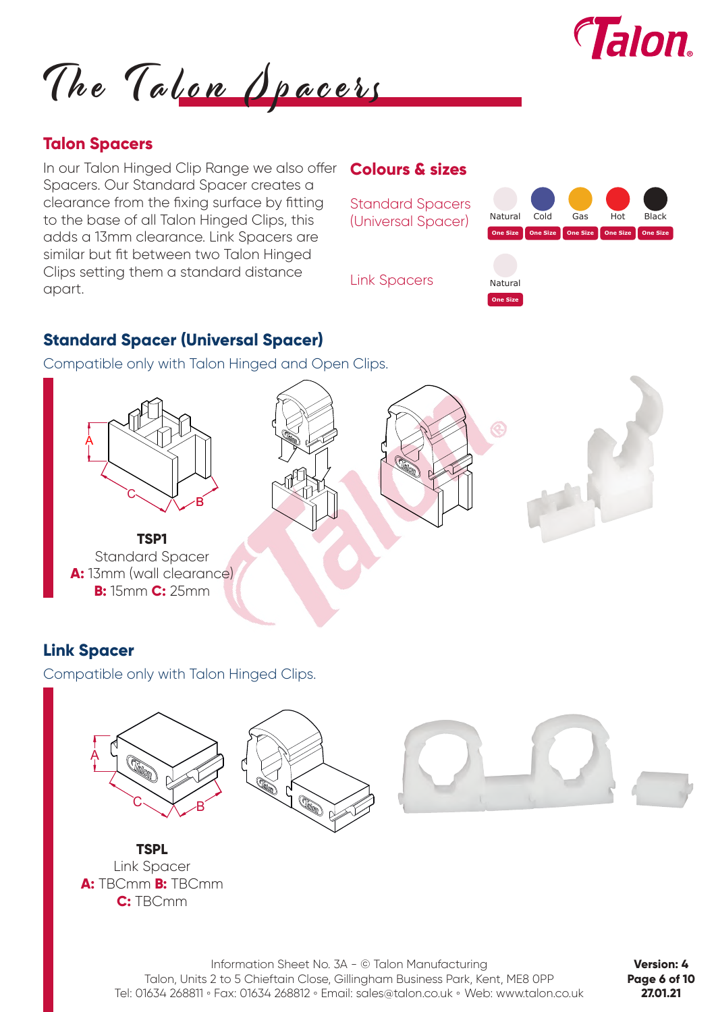

The Talon Opacers

### **Talon Spacers**

In our Talon Hinged Clip Range we also offer Spacers. Our Standard Spacer creates a clearance from the fixing surface by fitting to the base of all Talon Hinged Clips, this adds a 13mm clearance. Link Spacers are similar but fit between two Talon Hinged Clips setting them a standard distance apart.

#### **Colours & sizes**



### **Standard Spacer (Universal Spacer)**

Compatible only with Talon Hinged and Open Clips.



# **Link Spacer**

Compatible only with Talon Hinged Clips.



Information Sheet No. 3A - © Talon Manufacturing Talon, Units 2 to 5 Chieftain Close, Gillingham Business Park, Kent, ME8 0PP Tel: 01634 268811 **◦** Fax: 01634 268812 **◦** Email: sales@talon.co.uk **◦** Web: www.talon.co.uk

**Version: 4 Page 6 of 10 27.01.21**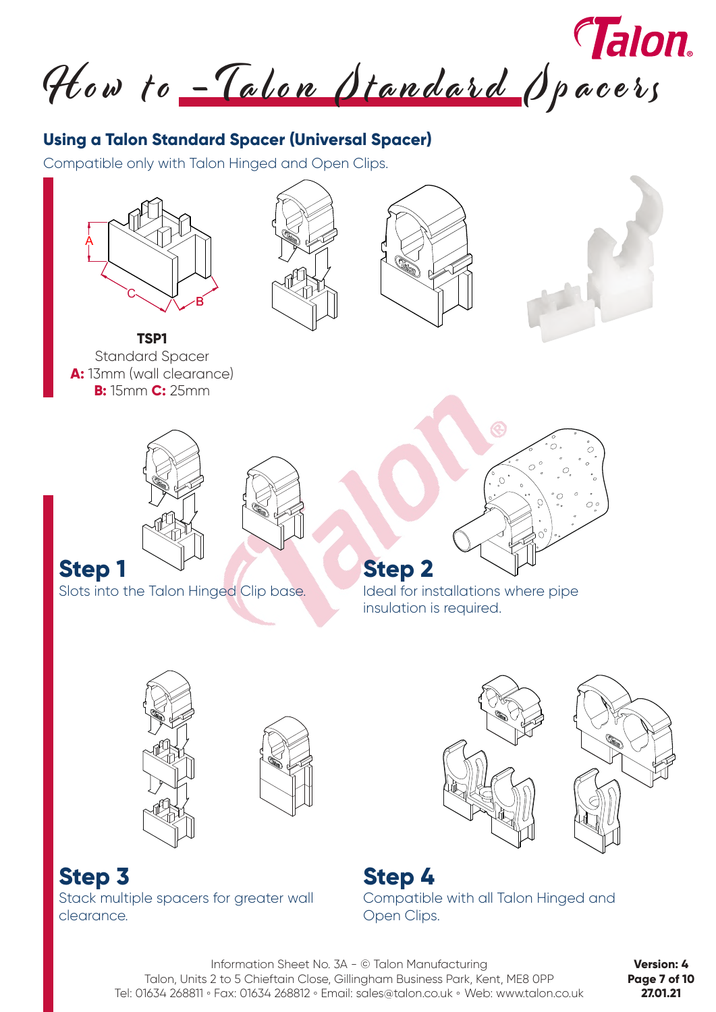How to -Talon Standard Spacers

# **Using a Talon Standard Spacer (Universal Spacer)**

Compatible only with Talon Hinged and Open Clips.









**TSP1** Standard Spacer **A:** 13mm (wall clearance) **B:** 15mm **C:** 25mm





**Step 1**

Slots into the Talon Hinged Clip base.



**Step 2** Ideal for installations where pipe insulation is required.





**Step 3** Stack multiple spacers for greater wall clearance.





Information Sheet No. 3A - © Talon Manufacturing Talon, Units 2 to 5 Chieftain Close, Gillingham Business Park, Kent, ME8 0PP Tel: 01634 268811 **◦** Fax: 01634 268812 **◦** Email: sales@talon.co.uk **◦** Web: www.talon.co.uk

**Version: 4 Page 7 of 10 27.01.21**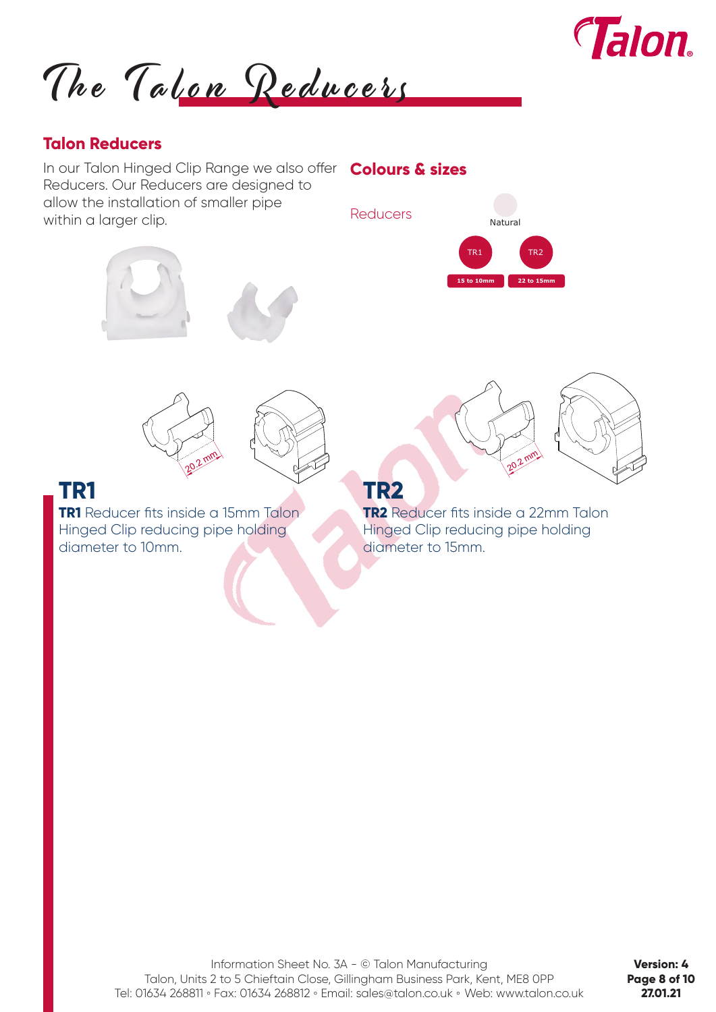

The Talon Reducers

#### **Talon Reducers**

In our Talon Hinged Clip Range we also offer **Colours & sizes** Reducers. Our Reducers are designed to allow the installation of smaller pipe within a larger clip.







**TR1** Reducer fits inside a 15mm Talon Hinged Clip reducing pipe holding diameter to 10mm.



# **TR1 TR2**

**TR2** Reducer fits inside a 22mm Talon Hinged Clip reducing pipe holding diameter to 15mm.

**Version: 4 Page 8 of 10 27.01.21**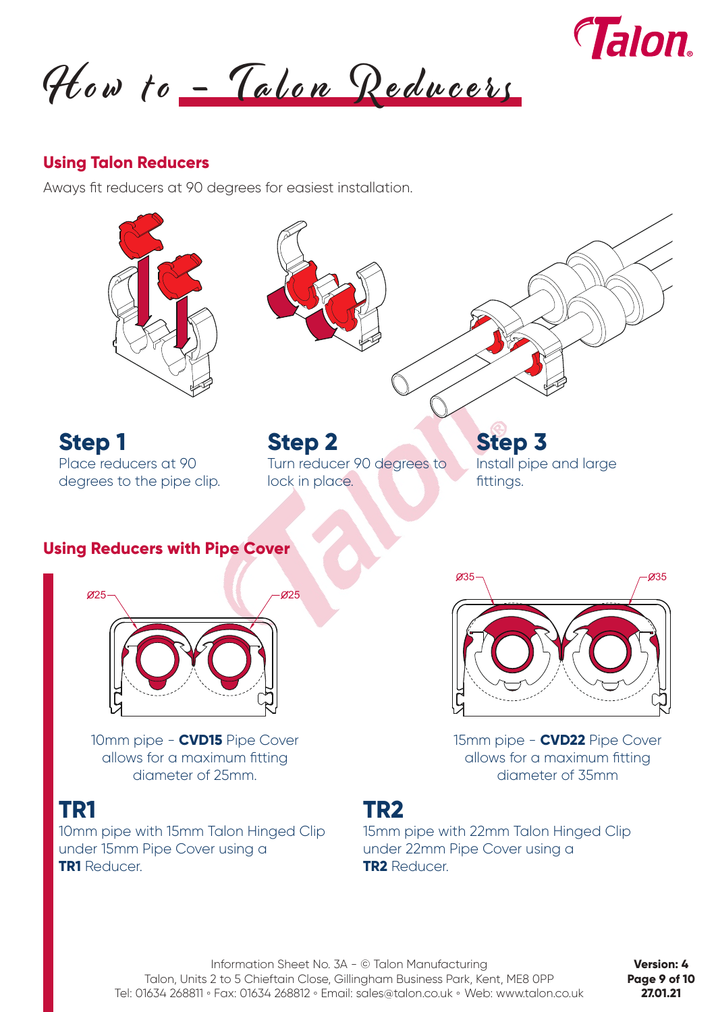

How to - Talon Reducers

#### **Using Talon Reducers**

Aways fit reducers at 90 degrees for easiest installation.



10mm pipe - **CVD15** Pipe Cover allows for a maximum fitting diameter of 25mm.

10mm pipe with 15mm Talon Hinged Clip under 15mm Pipe Cover using a **TR1** Reducer.

15mm pipe - **CVD22** Pipe Cover allows for a maximum fitting diameter of 35mm

# **TR1 TR2**

15mm pipe with 22mm Talon Hinged Clip under 22mm Pipe Cover using a **TR2** Reducer.

**Version: 4 Page 9 of 10 27.01.21**